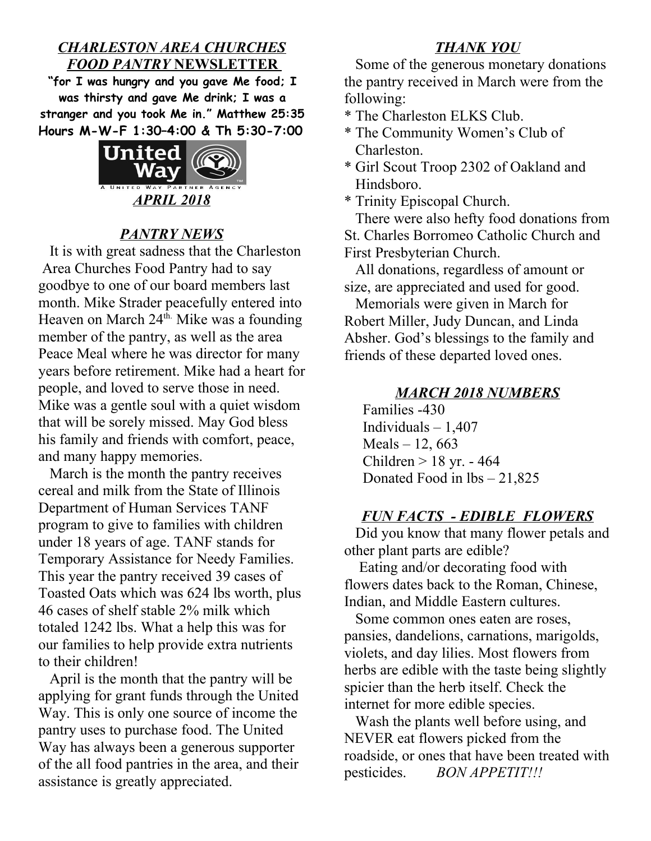## *CHARLESTON AREA CHURCHES FOOD PANTRY* **NEWSLETTER**

**"for I was hungry and you gave Me food; I was thirsty and gave Me drink; I was a stranger and you took Me in." Matthew 25:35 Hours M-W-F 1:30–4:00 & Th 5:30-7:00**



# *PANTRY NEWS*

It is with great sadness that the Charleston Area Churches Food Pantry had to say goodbye to one of our board members last month. Mike Strader peacefully entered into Heaven on March 24<sup>th.</sup> Mike was a founding member of the pantry, as well as the area Peace Meal where he was director for many years before retirement. Mike had a heart for people, and loved to serve those in need. Mike was a gentle soul with a quiet wisdom that will be sorely missed. May God bless his family and friends with comfort, peace, and many happy memories.

 March is the month the pantry receives cereal and milk from the State of Illinois Department of Human Services TANF program to give to families with children under 18 years of age. TANF stands for Temporary Assistance for Needy Families. This year the pantry received 39 cases of Toasted Oats which was 624 lbs worth, plus 46 cases of shelf stable 2% milk which totaled 1242 lbs. What a help this was for our families to help provide extra nutrients to their children!

 April is the month that the pantry will be applying for grant funds through the United Way. This is only one source of income the pantry uses to purchase food. The United Way has always been a generous supporter of the all food pantries in the area, and their assistance is greatly appreciated.

## *THANK YOU*

 Some of the generous monetary donations the pantry received in March were from the following:

\* The Charleston ELKS Club.

- \* The Community Women's Club of Charleston.
- \* Girl Scout Troop 2302 of Oakland and Hindsboro.

\* Trinity Episcopal Church.

 There were also hefty food donations from St. Charles Borromeo Catholic Church and First Presbyterian Church.

 All donations, regardless of amount or size, are appreciated and used for good.

 Memorials were given in March for Robert Miller, Judy Duncan, and Linda Absher. God's blessings to the family and friends of these departed loved ones.

#### *MARCH 2018 NUMBERS*

 Families -430 Individuals – 1,407 Meals – 12, 663 Children > 18 yr. - 464 Donated Food in lbs – 21,825

#### *FUN FACTS - EDIBLE FLOWERS*

 Did you know that many flower petals and other plant parts are edible?

 Eating and/or decorating food with flowers dates back to the Roman, Chinese, Indian, and Middle Eastern cultures.

 Some common ones eaten are roses, pansies, dandelions, carnations, marigolds, violets, and day lilies. Most flowers from herbs are edible with the taste being slightly spicier than the herb itself. Check the internet for more edible species.

 Wash the plants well before using, and NEVER eat flowers picked from the roadside, or ones that have been treated with pesticides. *BON APPETIT!!!*